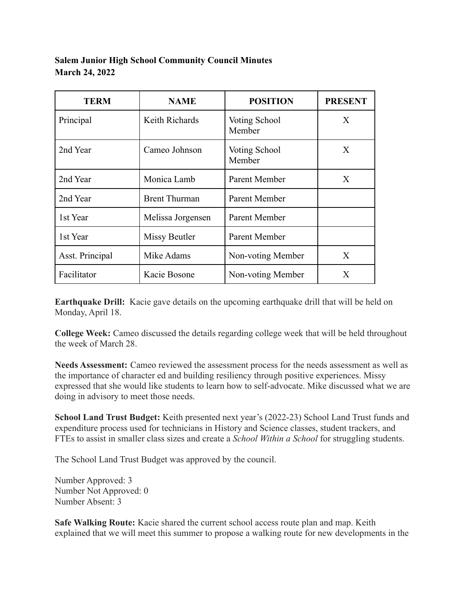## **Salem Junior High School Community Council Minutes March 24, 2022**

| <b>TERM</b>     | <b>NAME</b>          | <b>POSITION</b>         | <b>PRESENT</b> |
|-----------------|----------------------|-------------------------|----------------|
| Principal       | Keith Richards       | Voting School<br>Member | X              |
| 2nd Year        | Cameo Johnson        | Voting School<br>Member | X              |
| 2nd Year        | Monica Lamb          | Parent Member           | X              |
| 2nd Year        | <b>Brent Thurman</b> | Parent Member           |                |
| 1st Year        | Melissa Jorgensen    | Parent Member           |                |
| 1st Year        | Missy Beutler        | Parent Member           |                |
| Asst. Principal | Mike Adams           | Non-voting Member       | X              |
| Facilitator     | Kacie Bosone         | Non-voting Member       | X              |

**Earthquake Drill:** Kacie gave details on the upcoming earthquake drill that will be held on Monday, April 18.

**College Week:** Cameo discussed the details regarding college week that will be held throughout the week of March 28.

**Needs Assessment:** Cameo reviewed the assessment process for the needs assessment as well as the importance of character ed and building resiliency through positive experiences. Missy expressed that she would like students to learn how to self-advocate. Mike discussed what we are doing in advisory to meet those needs.

**School Land Trust Budget:** Keith presented next year's (2022-23) School Land Trust funds and expenditure process used for technicians in History and Science classes, student trackers, and FTEs to assist in smaller class sizes and create a *School Within a School* for struggling students.

The School Land Trust Budget was approved by the council.

Number Approved: 3 Number Not Approved: 0 Number Absent: 3

**Safe Walking Route:** Kacie shared the current school access route plan and map. Keith explained that we will meet this summer to propose a walking route for new developments in the